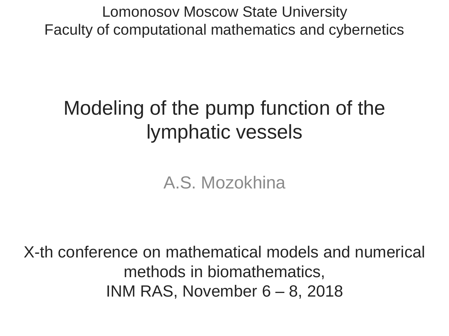Lomonosov Moscow State University Faculty of computational mathematics and cybernetics

# Modeling of the pump function of the lymphatic vessels

A.S. Mozokhina

X-th conference on mathematical models and numerical methods in biomathematics, INM RAS, November 6 – 8, 2018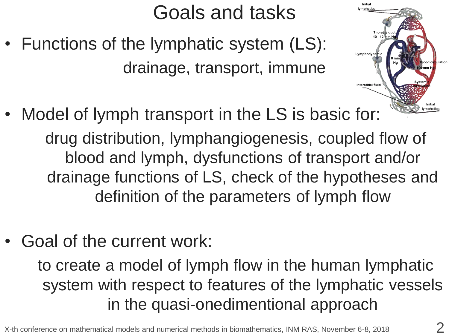# Goals and tasks

- Functions of the lymphatic system (LS): drainage, transport, immune
- Model of lymph transport in the LS is basic for: drug distribution, lymphangiogenesis, coupled flow of blood and lymph, dysfunctions of transport and/or drainage functions of LS, check of the hypotheses and definition of the parameters of lymph flow
- Goal of the current work:

to create a model of lymph flow in the human lymphatic system with respect to features of the lymphatic vessels in the quasi-onedimentional approach

lymphatic

Lymphodynar

**Interstitial fluid** 

 $10 - 12$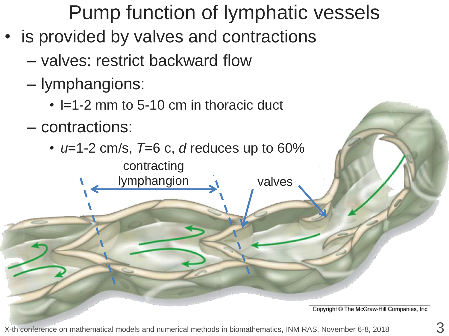Pump function of lymphatic vessels

- is provided by valves and contractions
	- valves: restrict backward flow
	- lymphangions:
		- $\cdot$  I=1-2 mm to 5-10 cm in thoracic duct

contracting

- contractions:
	- *u*=1-2 cm/s, *T*=6 c, *d* reduces up to 60%

lymphangion **valves** 

Copyright © The McGraw-Hill Companies, Inc.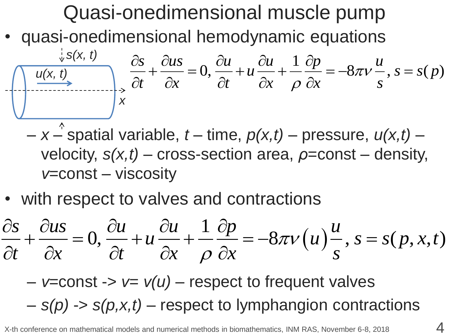# Quasi-onedimensional muscle pump • quasi-onedimensional hemodynamic equations  $\frac{\partial s(x, t)}{\partial x}$ ,  $\frac{\partial s}{\partial t} + \frac{\partial u s}{\partial x} = 0$ ,  $\frac{\partial u}{\partial t} + u \frac{\partial u}{\partial x} + \frac{1}{\rho} \frac{\partial p}{\partial x} = -8\pi v \frac{u}{s}$ ,  $s = s$ <br>  $-x \rightarrow$  spatial variable,  $t - \text{ time}$ ,  $p(x,t) - \text{ pressure}$ ,  $u(x,t) - \text{velocity}$ ,  $s(x,t) - \text{cross-section area}$ ,  $\rho = \text{const} - \text{density}$ <br>  $v = \text{const} - \text{vis$ real hemodynamic equations<br>  $\frac{ds}{dt} + \frac{\partial u}{\partial x} = 0$ ,  $\frac{\partial u}{\partial t} + u \frac{\partial u}{\partial x} + \frac{1}{\rho} \frac{\partial p}{\partial x} = -8\pi v \frac{u}{s}$ ,  $s = s(p)$  $\frac{ds}{dt} + \frac{\partial u}{\partial x} = 0, \frac{\partial u}{\partial t} + u \frac{\partial u}{\partial x} + \frac{1}{\rho} \frac{\partial p}{\partial x} = -8\pi v \frac{u}{s}$  $\cal{J}UV$  $\rho$ ensional hemodynamic equations<br>  $\frac{\partial s}{\partial t} + \frac{\partial u s}{\partial t} = 0$ ,  $\frac{\partial u}{\partial t} + u \frac{\partial u}{\partial t} + \frac{1}{2} \frac{\partial p}{\partial t} = -8\pi$ sional hemodynamic equations<br> $+\frac{\partial u s}{\partial x} = 0, \frac{\partial u}{\partial t} + u \frac{\partial u}{\partial x} + \frac{1}{\rho} \frac{\partial p}{\partial x} = -8\pi v \frac{u}{s}, s = s(p)$  $\frac{\partial s}{\partial t} + \frac{\partial u s}{\partial x} = 0$ ,  $\frac{\partial u}{\partial t} + u \frac{\partial u}{\partial x} + \frac{1}{\rho} \frac{\partial p}{\partial x} = -8\pi$ *x s(x, t) u(x, t)*

- $-x -$  spatial variable,  $t -$  time,  $p(x,t) -$  pressure,  $u(x,t)$ velocity, *s(x,t)* – cross-section area, *ρ*=const – density, *ν*=const – viscosity
- with respect to valves and contractions

v=const – viscosity  
\n• with respect to values and contractions  
\n
$$
\frac{\partial s}{\partial t} + \frac{\partial u s}{\partial x} = 0, \frac{\partial u}{\partial t} + u \frac{\partial u}{\partial x} + \frac{1}{\rho} \frac{\partial p}{\partial x} = -8\pi v(u) \frac{u}{s}, s = s(p, x, t)
$$

– *ν*=const -> *ν= ν(u)* – respect to frequent valves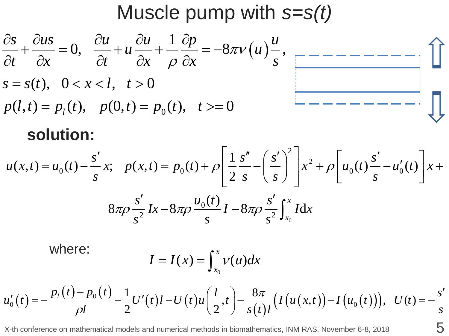## Muscle pump with *s=s(t)*



#### **solution:**

$$
p(l,t) = p_l(t), \quad p(0,t) = p_0(t), \quad t \geq 0 \qquad \qquad \text{Solution:}
$$
\n
$$
u(x,t) = u_0(t) - \frac{s'}{s}x; \quad p(x,t) = p_0(t) + \rho \left[ \frac{1}{2} \frac{s''}{s} - \left( \frac{s'}{s} \right)^2 \right] x^2 + \rho \left[ u_0(t) \frac{s'}{s} - u'_0(t) \right] x +
$$
\n
$$
8\pi \rho \frac{s'}{s^2} Ix - 8\pi \rho \frac{u_0(t)}{s} I - 8\pi \rho \frac{s'}{s^2} \int_{x_0}^x I dx
$$

where:

$$
I = I(x) = \int_{x_0}^x v(u) dx
$$

where:  
\n
$$
I = I(x) = \int_{x_0}^{x} v(u) dx
$$
\n
$$
u'_0(t) = -\frac{p_1(t) - p_0(t)}{\rho l} - \frac{1}{2}U'(t)l - U(t)u\left(\frac{l}{2}, t\right) - \frac{8\pi}{s(t)l}\left(I\left(u(x, t)\right) - I\left(u_0(t)\right)\right), \quad U(t) = -\frac{s'}{s}
$$

X-th conference on mathematical models and numerical methods in biomathematics, INM RAS, November 6-8, 2018  $\overline{5}$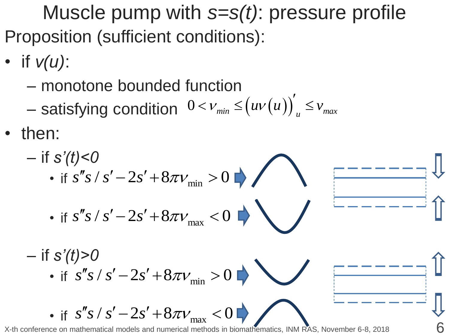Muscle pump with *s=s(t)*: pressure profile Proposition (sufficient conditions):

- if *ν(u)*:
	- monotone bounded function
	- $-$  satisfying condition  $0 < v_{min} \le (uv(u))'_{u} \le v_{max}$
- then:

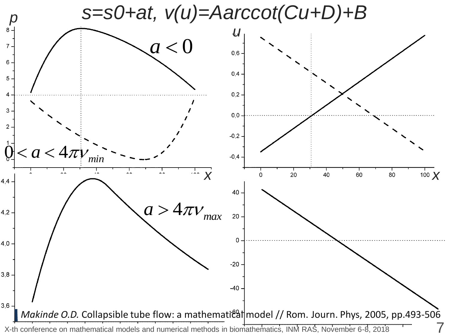*s=s0+at, ν(u)=Aarccot(Cu+D)+B*

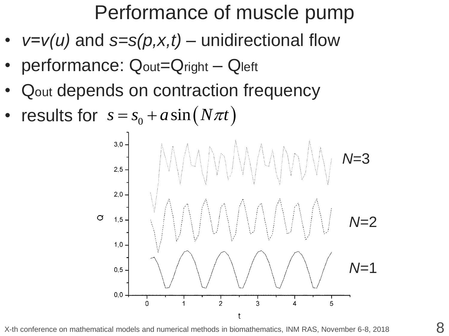## Performance of muscle pump

- *ν=ν(u)* and *s=s(p,x,t)* unidirectional flow
- performance: Qout=Qright Qleft
- Qout depends on contraction frequency
- results for  $s = s_0 + a \sin(N \pi t)$



X-th conference on mathematical models and numerical methods in biomathematics, INM RAS, November 6-8, 2018  $8$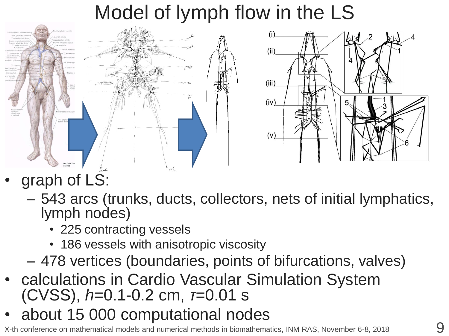## Model of lymph flow in the LS



- graph of LS:
	- 543 arcs (trunks, ducts, collectors, nets of initial lymphatics, lymph nodes)
		- 225 contracting vessels
		- 186 vessels with anisotropic viscosity
	- 478 vertices (boundaries, points of bifurcations, valves)
- calculations in Cardio Vascular Simulation System (CVSS), *h*=0.1-0.2 cm, *τ=*0.01 s
- about 15 000 computational nodes

X-th conference on mathematical models and numerical methods in biomathematics, INM RAS, November 6-8, 2018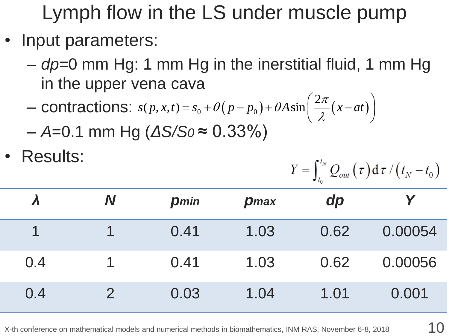Lymph flow in the LS under muscle pump

- Input parameters:
	- *dp*=0 mm Hg: 1 mm Hg in the inerstitial fluid, 1 mm Hg in the upper vena cava  $\left(\frac{2\pi}{x-at}\right)$
	- in the upper vena cava<br>
	contractions:  $s(p, x, t) = s_0 + \theta(p p_0) + \theta A \sin\left(\frac{2\pi}{\lambda}(x at)\right)$ 2 *s*( $p, x, t$ ) =  $s_0$  +  $\theta(p - p_0)$  +  $\theta A \sin \left( \frac{2\pi}{\lambda} (x - at \theta) \right)$  $\pi$  $\theta(p-p_0)+\theta A\sin\left(\frac{2\pi}{\lambda}\right)$  $+\theta(p-p_0)+\theta A\sin\left(\frac{2\pi}{\lambda}(x-at)\right)$  $=$
	- *A*=0.1 mm Hg (*ΔS/S0* ≈ 0.33%)
- Results:

$$
Y = \int_{t_0}^{t_N} Q_{out}(\tau) d\tau / (t_N - t_0)
$$

|     | N | <b>p</b> min | <b>p</b> max | dp   |         |
|-----|---|--------------|--------------|------|---------|
|     |   | 0.41         | 1.03         | 0.62 | 0.00054 |
| 0.4 |   | 0.41         | 1.03         | 0.62 | 0.00056 |
| 0.4 |   | 0.03         | 1.04         | 1.01 | 0.001   |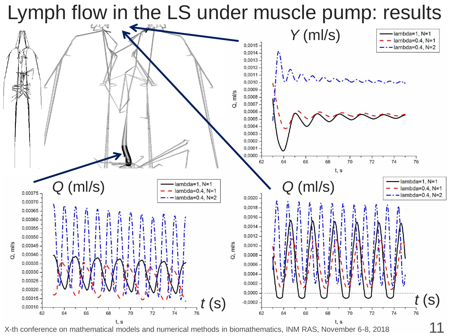Lymph flow in the LS under muscle pump: results

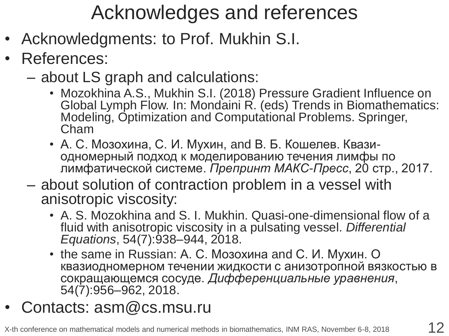## Acknowledges and references

- Acknowledgments: to Prof. Mukhin S.I.
- References:
	- about LS graph and calculations:
		- Mozokhina A.S., Mukhin S.I. (2018) Pressure Gradient Influence on Global Lymph Flow. In: Mondaini R. (eds) Trends in Biomathematics: Modeling, Optimization and Computational Problems. Springer, Cham
		- А. С. Мозохина, С. И. Мухин, and В. Б. Кошелев. Квазиодномерный подход к моделированию течения лимфы по лимфатической системе. *Препринт МАКС-Пресс*, 20 стр., 2017.
	- about solution of contraction problem in a vessel with anisotropic viscosity:
		- A. S. Mozokhina and S. I. Mukhin. Quasi-one-dimensional flow of a fluid with anisotropic viscosity in a pulsating vessel. *Differential Equations*, 54(7):938–944, 2018.
		- the same in Russian: А. С. Мозохина and С. И. Мухин. О квазиодномерном течении жидкости с анизотропной вязкостью в сокращающемся сосуде. *Дифференциальные уравнения*, 54(7):956–962, 2018.
- Contacts: asm@cs.msu.ru